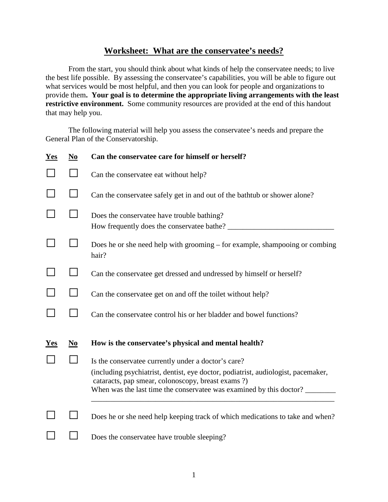## **Worksheet: What are the conservatee's needs?**

From the start, you should think about what kinds of help the conservatee needs; to live the best life possible. By assessing the conservatee's capabilities, you will be able to figure out what services would be most helpful, and then you can look for people and organizations to provide them**. Your goal is to determine the appropriate living arrangements with the least restrictive environment.** Some community resources are provided at the end of this handout that may help you.

The following material will help you assess the conservatee's needs and prepare the General Plan of the Conservatorship.

| Yes        | $\mathbf{N}\mathbf{0}$ | Can the conservatee care for himself or herself?                                                                                                                                                               |  |
|------------|------------------------|----------------------------------------------------------------------------------------------------------------------------------------------------------------------------------------------------------------|--|
|            |                        | Can the conservatee eat without help?                                                                                                                                                                          |  |
|            |                        | Can the conservate safely get in and out of the bathtub or shower alone?                                                                                                                                       |  |
|            |                        | Does the conservate have trouble bathing?<br>How frequently does the conservate bathe?                                                                                                                         |  |
|            |                        | Does he or she need help with grooming – for example, shampooing or combing<br>hair?                                                                                                                           |  |
|            |                        | Can the conservatee get dressed and undressed by himself or herself?                                                                                                                                           |  |
|            |                        | Can the conservate get on and off the toilet without help?                                                                                                                                                     |  |
|            |                        | Can the conservatee control his or her bladder and bowel functions?                                                                                                                                            |  |
| <u>Yes</u> | $No$                   | How is the conservatee's physical and mental health?                                                                                                                                                           |  |
|            |                        | Is the conservatee currently under a doctor's care?                                                                                                                                                            |  |
|            |                        | (including psychiatrist, dentist, eye doctor, podiatrist, audiologist, pacemaker,<br>cataracts, pap smear, colonoscopy, breast exams ?)<br>When was the last time the conservatee was examined by this doctor? |  |
|            |                        |                                                                                                                                                                                                                |  |
|            |                        | Does he or she need help keeping track of which medications to take and when?                                                                                                                                  |  |
|            |                        | Does the conservate have trouble sleeping?                                                                                                                                                                     |  |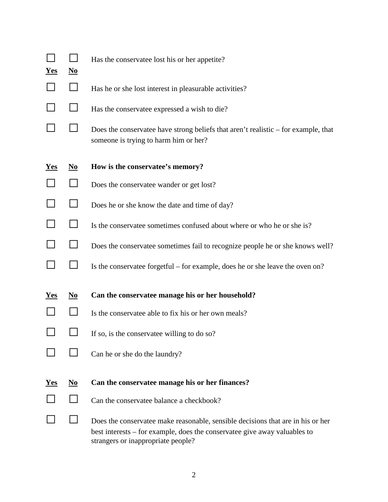| <u>Yes</u> | $\underline{\mathbf{N}\mathbf{0}}$ | Has the conservate lost his or her appetite?                                                                                                                |  |  |
|------------|------------------------------------|-------------------------------------------------------------------------------------------------------------------------------------------------------------|--|--|
|            |                                    | Has he or she lost interest in pleasurable activities?                                                                                                      |  |  |
|            | $\blacksquare$                     | Has the conservatee expressed a wish to die?                                                                                                                |  |  |
|            |                                    | Does the conservate have strong beliefs that aren't realistic – for example, that<br>someone is trying to harm him or her?                                  |  |  |
| <b>Yes</b> | $\underline{\mathbf{N}\mathbf{0}}$ | How is the conservatee's memory?                                                                                                                            |  |  |
|            |                                    | Does the conservate wander or get lost?                                                                                                                     |  |  |
|            |                                    | Does he or she know the date and time of day?                                                                                                               |  |  |
|            |                                    | Is the conservate sometimes confused about where or who he or she is?                                                                                       |  |  |
|            | $\blacksquare$                     | Does the conservatee sometimes fail to recognize people he or she knows well?                                                                               |  |  |
|            |                                    | Is the conservate forgetful – for example, does he or she leave the oven on?                                                                                |  |  |
| <u>Yes</u> | $\underline{\mathbf{N}\mathbf{o}}$ | Can the conservatee manage his or her household?                                                                                                            |  |  |
|            |                                    | Is the conservate able to fix his or her own meals?                                                                                                         |  |  |
|            |                                    | If so, is the conservate willing to do so?                                                                                                                  |  |  |
|            |                                    | Can he or she do the laundry?                                                                                                                               |  |  |
| <u>Yes</u> | $\underline{\mathbf{N}\mathbf{0}}$ | Can the conservatee manage his or her finances?                                                                                                             |  |  |
|            |                                    | Can the conservatee balance a checkbook?                                                                                                                    |  |  |
|            |                                    | Does the conservate emake reasonable, sensible decisions that are in his or her<br>best interests – for example, does the conservate give away valuables to |  |  |

strangers or inappropriate people?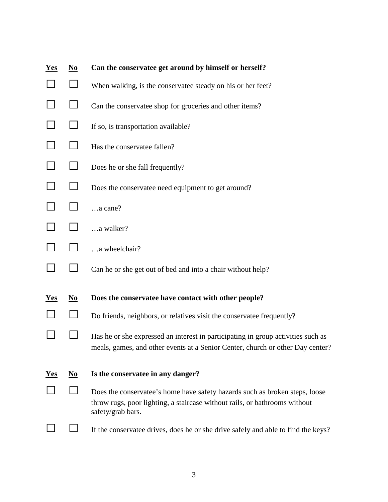| <b>Yes</b> | $\underline{\mathbf{N}\mathbf{0}}$ | Can the conservatee get around by himself or herself?                                                                                                                          |  |  |
|------------|------------------------------------|--------------------------------------------------------------------------------------------------------------------------------------------------------------------------------|--|--|
|            | $\mathsf{L}$                       | When walking, is the conservatee steady on his or her feet?                                                                                                                    |  |  |
|            |                                    | Can the conservatee shop for groceries and other items?                                                                                                                        |  |  |
|            | $\Box$                             | If so, is transportation available?                                                                                                                                            |  |  |
|            | $\Box$                             | Has the conservatee fallen?                                                                                                                                                    |  |  |
|            |                                    | Does he or she fall frequently?                                                                                                                                                |  |  |
|            |                                    | Does the conservate need equipment to get around?                                                                                                                              |  |  |
|            | $\mathsf{L}$                       | a cane?                                                                                                                                                                        |  |  |
|            |                                    | a walker?                                                                                                                                                                      |  |  |
|            |                                    | a wheelchair?                                                                                                                                                                  |  |  |
|            | $\perp$                            | Can he or she get out of bed and into a chair without help?                                                                                                                    |  |  |
| <u>Yes</u> | $\underline{\mathbf{N}\mathbf{0}}$ | Does the conservatee have contact with other people?                                                                                                                           |  |  |
|            |                                    | Do friends, neighbors, or relatives visit the conservatee frequently?                                                                                                          |  |  |
|            |                                    | Has he or she expressed an interest in participating in group activities such as<br>meals, games, and other events at a Senior Center, church or other Day center?             |  |  |
| <b>Yes</b> | $\underline{\mathbf{N}\mathbf{0}}$ | Is the conservatee in any danger?                                                                                                                                              |  |  |
|            |                                    | Does the conservatee's home have safety hazards such as broken steps, loose<br>throw rugs, poor lighting, a staircase without rails, or bathrooms without<br>safety/grab bars. |  |  |
|            |                                    | If the conservate drives, does he or she drive safely and able to find the keys?                                                                                               |  |  |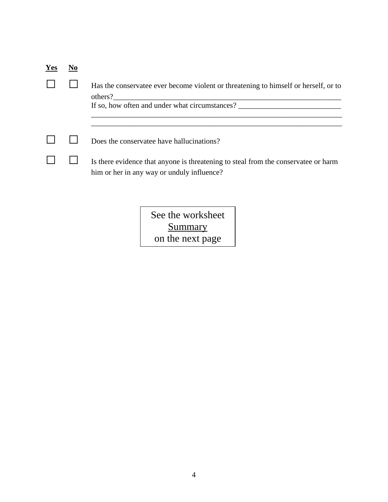| Yes |                                                                                                                                 |
|-----|---------------------------------------------------------------------------------------------------------------------------------|
|     | Has the conservate ever become violent or threatening to himself or herself, or to<br>others?                                   |
|     | If so, how often and under what circumstances?                                                                                  |
|     |                                                                                                                                 |
|     | Does the conservate have hallucinations?                                                                                        |
|     | Is there evidence that anyone is threatening to steal from the conservate or harm<br>him or her in any way or unduly influence? |

See the worksheet **Summary** on the next page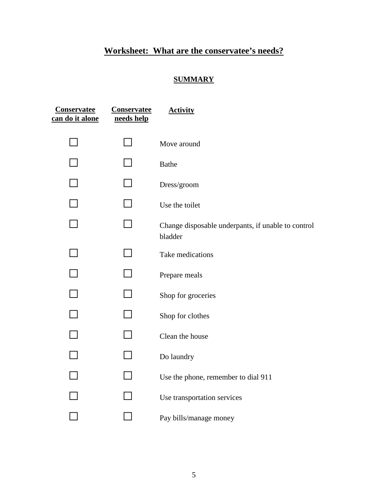## **Worksheet: What are the conservatee's needs?**

## **SUMMARY**

| <b>Conservatee</b><br>can do it alone | <b>Conservatee</b><br>needs help | <b>Activity</b>                                               |
|---------------------------------------|----------------------------------|---------------------------------------------------------------|
|                                       |                                  | Move around                                                   |
|                                       |                                  | <b>Bathe</b>                                                  |
|                                       |                                  | Dress/groom                                                   |
|                                       |                                  | Use the toilet                                                |
|                                       |                                  | Change disposable underpants, if unable to control<br>bladder |
|                                       |                                  | Take medications                                              |
|                                       |                                  | Prepare meals                                                 |
|                                       |                                  | Shop for groceries                                            |
|                                       |                                  | Shop for clothes                                              |
|                                       |                                  | Clean the house                                               |
|                                       |                                  | Do laundry                                                    |
|                                       |                                  | Use the phone, remember to dial 911                           |
|                                       |                                  | Use transportation services                                   |
|                                       |                                  | Pay bills/manage money                                        |